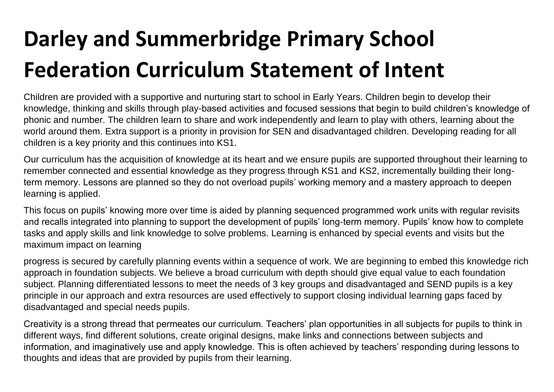## **Darley and Summerbridge Primary School Federation Curriculum Statement of Intent**

Children are provided with a supportive and nurturing start to school in Early Years. Children begin to develop their knowledge, thinking and skills through play-based activities and focused sessions that begin to build children's knowledge of phonic and number. The children learn to share and work independently and learn to play with others, learning about the world around them. Extra support is a priority in provision for SEN and disadvantaged children. Developing reading for all children is a key priority and this continues into KS1.

Our curriculum has the acquisition of knowledge at its heart and we ensure pupils are supported throughout their learning to remember connected and essential knowledge as they progress through KS1 and KS2, incrementally building their longterm memory. Lessons are planned so they do not overload pupils' working memory and a mastery approach to deepen learning is applied.

This focus on pupils' knowing more over time is aided by planning sequenced programmed work units with regular revisits and recalls integrated into planning to support the development of pupils' long-term memory. Pupils' know how to complete tasks and apply skills and link knowledge to solve problems. Learning is enhanced by special events and visits but the maximum impact on learning

progress is secured by carefully planning events within a sequence of work. We are beginning to embed this knowledge rich approach in foundation subjects. We believe a broad curriculum with depth should give equal value to each foundation subject. Planning differentiated lessons to meet the needs of 3 key groups and disadvantaged and SEND pupils is a key principle in our approach and extra resources are used effectively to support closing individual learning gaps faced by disadvantaged and special needs pupils.

Creativity is a strong thread that permeates our curriculum. Teachers' plan opportunities in all subjects for pupils to think in different ways, find different solutions, create original designs, make links and connections between subjects and information, and imaginatively use and apply knowledge. This is often achieved by teachers' responding during lessons to thoughts and ideas that are provided by pupils from their learning.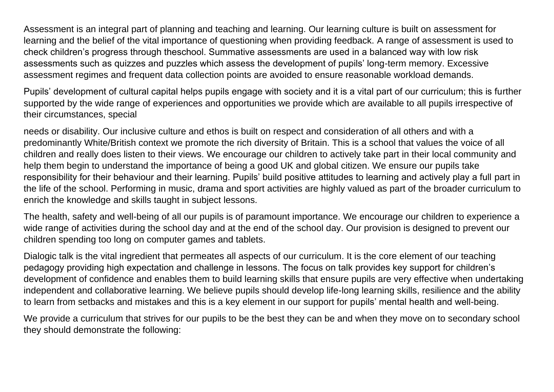Assessment is an integral part of planning and teaching and learning. Our learning culture is built on assessment for learning and the belief of the vital importance of questioning when providing feedback. A range of assessment is used to check children's progress through theschool. Summative assessments are used in a balanced way with low risk assessments such as quizzes and puzzles which assess the development of pupils' long-term memory. Excessive assessment regimes and frequent data collection points are avoided to ensure reasonable workload demands.

Pupils' development of cultural capital helps pupils engage with society and it is a vital part of our curriculum; this is further supported by the wide range of experiences and opportunities we provide which are available to all pupils irrespective of their circumstances, special

needs or disability. Our inclusive culture and ethos is built on respect and consideration of all others and with a predominantly White/British context we promote the rich diversity of Britain. This is a school that values the voice of all children and really does listen to their views. We encourage our children to actively take part in their local community and help them begin to understand the importance of being a good UK and global citizen. We ensure our pupils take responsibility for their behaviour and their learning. Pupils' build positive attitudes to learning and actively play a full part in the life of the school. Performing in music, drama and sport activities are highly valued as part of the broader curriculum to enrich the knowledge and skills taught in subject lessons.

The health, safety and well-being of all our pupils is of paramount importance. We encourage our children to experience a wide range of activities during the school day and at the end of the school day. Our provision is designed to prevent our children spending too long on computer games and tablets.

Dialogic talk is the vital ingredient that permeates all aspects of our curriculum. It is the core element of our teaching pedagogy providing high expectation and challenge in lessons. The focus on talk provides key support for children's development of confidence and enables them to build learning skills that ensure pupils are very effective when undertaking independent and collaborative learning. We believe pupils should develop life-long learning skills, resilience and the ability to learn from setbacks and mistakes and this is a key element in our support for pupils' mental health and well-being.

We provide a curriculum that strives for our pupils to be the best they can be and when they move on to secondary school they should demonstrate the following: